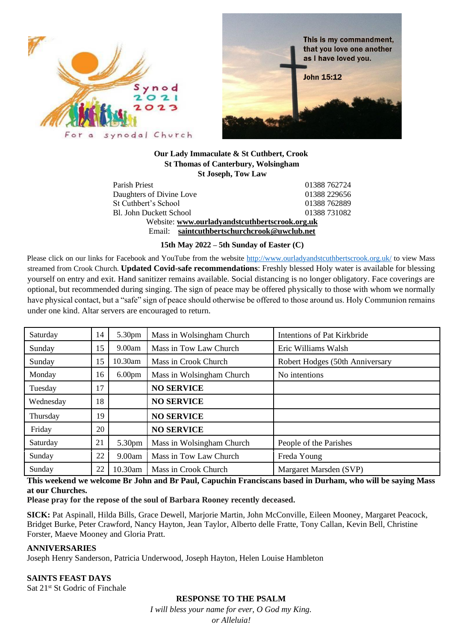



#### **Our Lady Immaculate & St Cuthbert, Crook St Thomas of Canterbury, Wolsingham St Joseph, Tow Law**

Parish Priest 01388 762724 Daughters of Divine Love 01388 229656 St Cuthbert's School 01388 762889 Bl. John Duckett School 01388 731082 Website: **[www.ourladyandstcuthbertscrook.org.uk](about:blank)** Email: **[saintcuthbertschurchcrook@uwclub.net](about:blank)**

**15th May 2022 – 5th Sunday of Easter (C)**

Please click on our links for Facebook and YouTube from the website<http://www.ourladyandstcuthbertscrook.org.uk/> to view Mass streamed from Crook Church. **Updated Covid-safe recommendations**: Freshly blessed Holy water is available for blessing yourself on entry and exit. Hand sanitizer remains available. Social distancing is no longer obligatory. Face coverings are optional, but recommended during singing. The sign of peace may be offered physically to those with whom we normally have physical contact, but a "safe" sign of peace should otherwise be offered to those around us. Holy Communion remains under one kind. Altar servers are encouraged to return.

| Saturday  | 14 | 5.30pm             | Mass in Wolsingham Church | <b>Intentions of Pat Kirkbride</b> |  |
|-----------|----|--------------------|---------------------------|------------------------------------|--|
| Sunday    | 15 | 9.00am             | Mass in Tow Law Church    | Eric Williams Walsh                |  |
| Sunday    | 15 | 10.30am            | Mass in Crook Church      | Robert Hodges (50th Anniversary    |  |
| Monday    | 16 | 6.00 <sub>pm</sub> | Mass in Wolsingham Church | No intentions                      |  |
| Tuesday   | 17 |                    | <b>NO SERVICE</b>         |                                    |  |
| Wednesday | 18 |                    | <b>NO SERVICE</b>         |                                    |  |
| Thursday  | 19 |                    | <b>NO SERVICE</b>         |                                    |  |
| Friday    | 20 |                    | <b>NO SERVICE</b>         |                                    |  |
| Saturday  | 21 | 5.30pm             | Mass in Wolsingham Church | People of the Parishes             |  |
| Sunday    | 22 | 9.00am             | Mass in Tow Law Church    | Freda Young                        |  |
| Sunday    | 22 | 10.30am            | Mass in Crook Church      | Margaret Marsden (SVP)             |  |

#### **This weekend we welcome Br John and Br Paul, Capuchin Franciscans based in Durham, who will be saying Mass at our Churches.**

**Please pray for the repose of the soul of Barbara Rooney recently deceased.**

**SICK:** Pat Aspinall, Hilda Bills, Grace Dewell, Marjorie Martin, John McConville, Eileen Mooney, Margaret Peacock, Bridget Burke, Peter Crawford, Nancy Hayton, Jean Taylor, Alberto delle Fratte, Tony Callan, Kevin Bell, Christine Forster, Maeve Mooney and Gloria Pratt.

# **ANNIVERSARIES**

Joseph Henry Sanderson, Patricia Underwood, Joseph Hayton, Helen Louise Hambleton

**SAINTS FEAST DAYS**  Sat 21<sup>st</sup> St Godric of Finchale

> **RESPONSE TO THE PSALM** *I will bless your name for ever, O God my King. or Alleluia!*